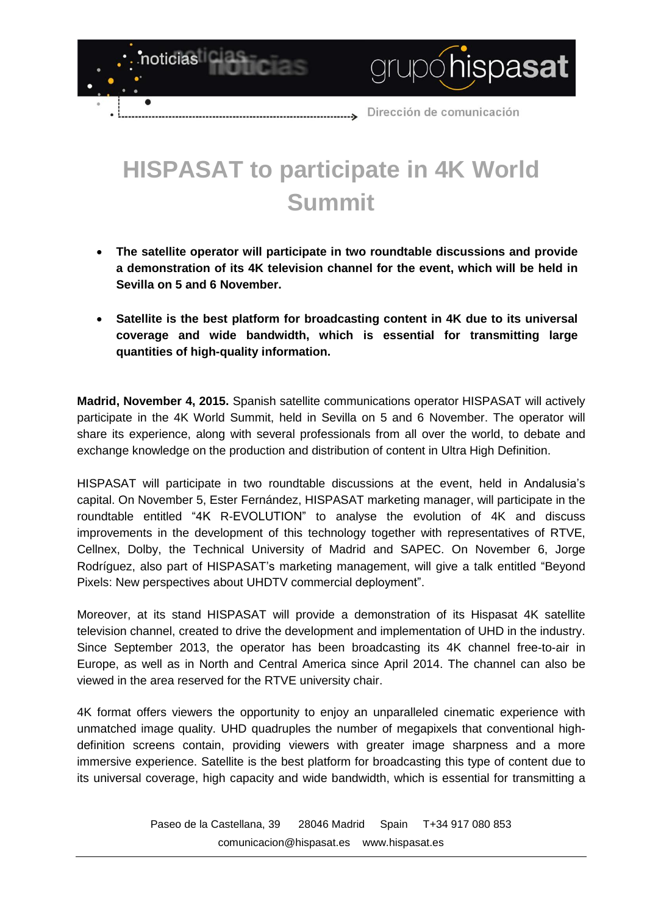

## **HISPASAT to participate in 4K World Summit**

- **The satellite operator will participate in two roundtable discussions and provide a demonstration of its 4K television channel for the event, which will be held in Sevilla on 5 and 6 November.**
- **Satellite is the best platform for broadcasting content in 4K due to its universal coverage and wide bandwidth, which is essential for transmitting large quantities of high-quality information.**

**Madrid, November 4, 2015.** Spanish satellite communications operator HISPASAT will actively participate in the 4K World Summit, held in Sevilla on 5 and 6 November. The operator will share its experience, along with several professionals from all over the world, to debate and exchange knowledge on the production and distribution of content in Ultra High Definition.

HISPASAT will participate in two roundtable discussions at the event, held in Andalusia's capital. On November 5, Ester Fernández, HISPASAT marketing manager, will participate in the roundtable entitled "4K R-EVOLUTION" to analyse the evolution of 4K and discuss improvements in the development of this technology together with representatives of RTVE, Cellnex, Dolby, the Technical University of Madrid and SAPEC. On November 6, Jorge Rodríguez, also part of HISPASAT's marketing management, will give a talk entitled "Beyond Pixels: New perspectives about UHDTV commercial deployment".

Moreover, at its stand HISPASAT will provide a demonstration of its Hispasat 4K satellite television channel, created to drive the development and implementation of UHD in the industry. Since September 2013, the operator has been broadcasting its 4K channel free-to-air in Europe, as well as in North and Central America since April 2014. The channel can also be viewed in the area reserved for the RTVE university chair.

4K format offers viewers the opportunity to enjoy an unparalleled cinematic experience with unmatched image quality. UHD quadruples the number of megapixels that conventional highdefinition screens contain, providing viewers with greater image sharpness and a more immersive experience. Satellite is the best platform for broadcasting this type of content due to its universal coverage, high capacity and wide bandwidth, which is essential for transmitting a